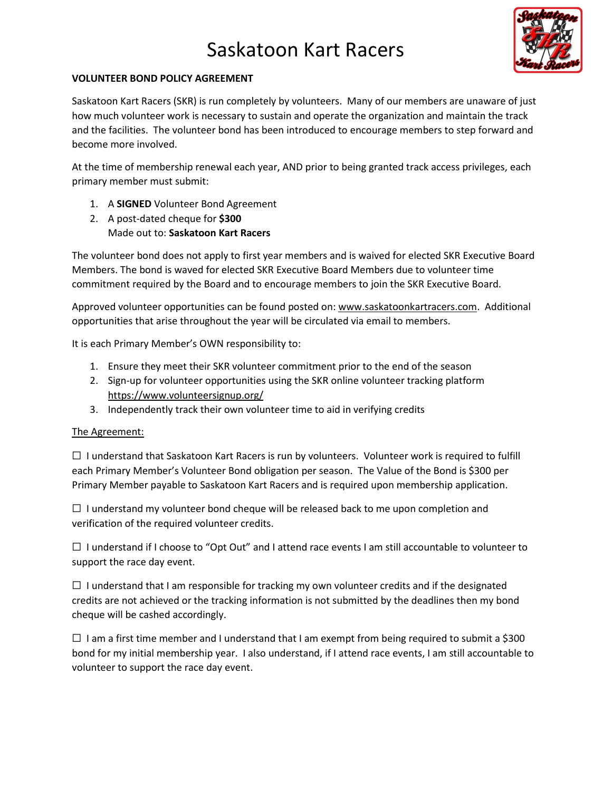# Saskatoon Kart Racers



## **VOLUNTEER BOND POLICY AGREEMENT**

Saskatoon Kart Racers (SKR) is run completely by volunteers. Many of our members are unaware of just how much volunteer work is necessary to sustain and operate the organization and maintain the track and the facilities. The volunteer bond has been introduced to encourage members to step forward and become more involved.

At the time of membership renewal each year, AND prior to being granted track access privileges, each primary member must submit:

- 1. A **SIGNED** Volunteer Bond Agreement
- 2. A post-dated cheque for **\$300** Made out to: **Saskatoon Kart Racers**

The volunteer bond does not apply to first year members and is waived for elected SKR Executive Board Members. The bond is waved for elected SKR Executive Board Members due to volunteer time commitment required by the Board and to encourage members to join the SKR Executive Board.

Approved volunteer opportunities can be found posted on[: www.saskatoonkartracers.com.](http://www.saskatoonkartracers.com/) Additional opportunities that arise throughout the year will be circulated via email to members.

It is each Primary Member's OWN responsibility to:

- 1. Ensure they meet their SKR volunteer commitment prior to the end of the season
- 2. Sign-up for volunteer opportunities using the SKR online volunteer tracking platform <https://www.volunteersignup.org/>
- 3. Independently track their own volunteer time to aid in verifying credits

#### The Agreement:

☐ I understand that Saskatoon Kart Racers is run by volunteers. Volunteer work is required to fulfill each Primary Member's Volunteer Bond obligation per season. The Value of the Bond is \$300 per Primary Member payable to Saskatoon Kart Racers and is required upon membership application.

 $\Box$  I understand my volunteer bond cheque will be released back to me upon completion and verification of the required volunteer credits.

 $\Box$  I understand if I choose to "Opt Out" and I attend race events I am still accountable to volunteer to support the race day event.

 $\Box$  I understand that I am responsible for tracking my own volunteer credits and if the designated credits are not achieved or the tracking information is not submitted by the deadlines then my bond cheque will be cashed accordingly.

 $\Box$  I am a first time member and I understand that I am exempt from being required to submit a \$300 bond for my initial membership year. I also understand, if I attend race events, I am still accountable to volunteer to support the race day event.